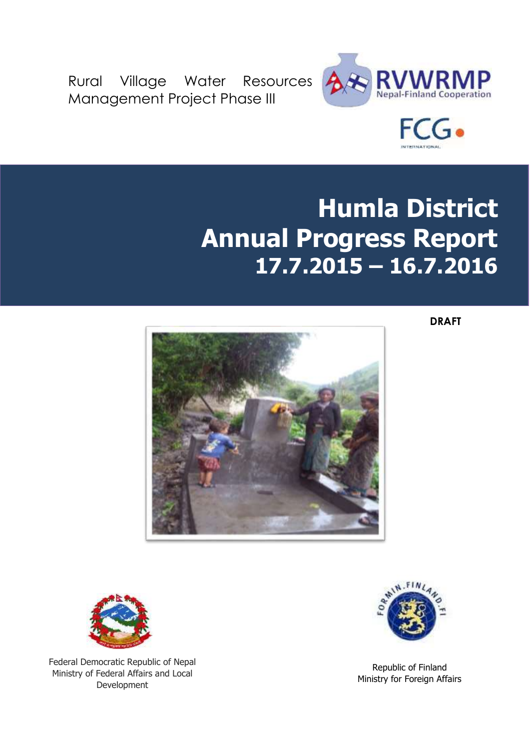Rural Village Water Resources Management Project Phase III





# **Humla District Annual Progress Report 17.7.2015 – 16.7.2016**

**DRAFT**





Federal Democratic Republic of Nepal Ministry of Federal Affairs and Local Development



Republic of Finland Ministry for Foreign Affairs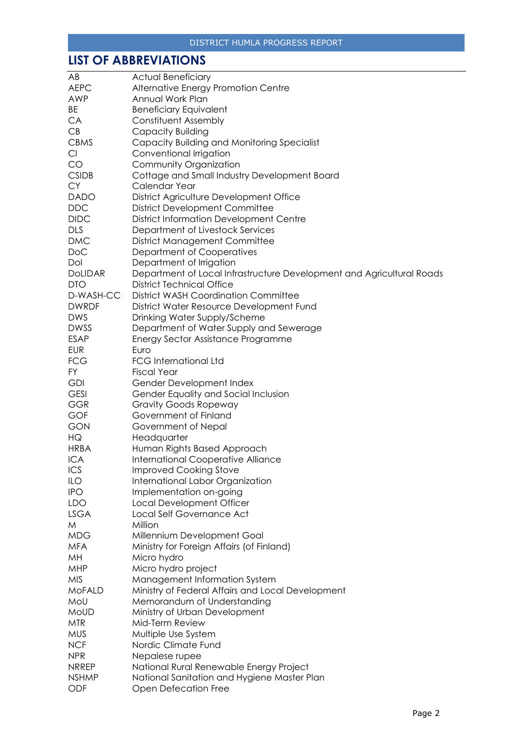## <span id="page-1-0"></span>**LIST OF ABBREVIATIONS**

| AB             | <b>Actual Beneficiary</b>                                             |
|----------------|-----------------------------------------------------------------------|
| <b>AEPC</b>    | Alternative Energy Promotion Centre                                   |
| AWP            | Annual Work Plan                                                      |
| BE             | <b>Beneficiary Equivalent</b>                                         |
| CA             | Constituent Assembly                                                  |
| CB             | Capacity Building                                                     |
| <b>CBMS</b>    |                                                                       |
|                | Capacity Building and Monitoring Specialist                           |
| Cl             | Conventional Irrigation                                               |
| CO             | Community Organization                                                |
| <b>CSIDB</b>   | Cottage and Small Industry Development Board                          |
| <b>CY</b>      | Calendar Year                                                         |
| <b>DADO</b>    | District Agriculture Development Office                               |
| <b>DDC</b>     | <b>District Development Committee</b>                                 |
| <b>DIDC</b>    | <b>District Information Development Centre</b>                        |
| <b>DLS</b>     | Department of Livestock Services                                      |
| <b>DMC</b>     | <b>District Management Committee</b>                                  |
| <b>DoC</b>     | Department of Cooperatives                                            |
| Dol            | Department of Irrigation                                              |
| <b>DoLIDAR</b> | Department of Local Infrastructure Development and Agricultural Roads |
| <b>DTO</b>     | <b>District Technical Office</b>                                      |
| D-WASH-CC      | <b>District WASH Coordination Committee</b>                           |
| <b>DWRDF</b>   | District Water Resource Development Fund                              |
| <b>DWS</b>     | Drinking Water Supply/Scheme                                          |
| <b>DWSS</b>    | Department of Water Supply and Sewerage                               |
| <b>ESAP</b>    | <b>Energy Sector Assistance Programme</b>                             |
| <b>EUR</b>     | Euro                                                                  |
| <b>FCG</b>     | <b>FCG International Ltd</b>                                          |
|                |                                                                       |
| <b>FY</b>      | <b>Fiscal Year</b>                                                    |
| <b>GDI</b>     | Gender Development Index                                              |
| <b>GESI</b>    | Gender Equality and Social Inclusion                                  |
| <b>GGR</b>     | <b>Gravity Goods Ropeway</b>                                          |
| GOF            | Government of Finland                                                 |
| GON            | Government of Nepal                                                   |
| HG             | Headquarter                                                           |
| <b>HRBA</b>    | Human Rights Based Approach                                           |
| <b>ICA</b>     | <b>International Cooperative Alliance</b>                             |
| ICS            | <b>Improved Cooking Stove</b>                                         |
| ILO            | International Labor Organization                                      |
| <b>IPO</b>     | Implementation on-going                                               |
| <b>LDO</b>     | Local Development Officer                                             |
| <b>LSGA</b>    | Local Self Governance Act                                             |
| M              | Million                                                               |
| <b>MDG</b>     | Millennium Development Goal                                           |
| <b>MFA</b>     | Ministry for Foreign Affairs (of Finland)                             |
| MH             | Micro hydro                                                           |
| <b>MHP</b>     | Micro hydro project                                                   |
| <b>MIS</b>     | Management Information System                                         |
| MoFALD         | Ministry of Federal Affairs and Local Development                     |
| MoU            | Memorandum of Understanding                                           |
| MoUD           | Ministry of Urban Development                                         |
| <b>MTR</b>     | Mid-Term Review                                                       |
| <b>MUS</b>     | Multiple Use System                                                   |
| <b>NCF</b>     | Nordic Climate Fund                                                   |
| <b>NPR</b>     | Nepalese rupee                                                        |
| <b>NRREP</b>   | National Rural Renewable Energy Project                               |
| <b>NSHMP</b>   | National Sanitation and Hygiene Master Plan                           |
| ODF            | Open Defecation Free                                                  |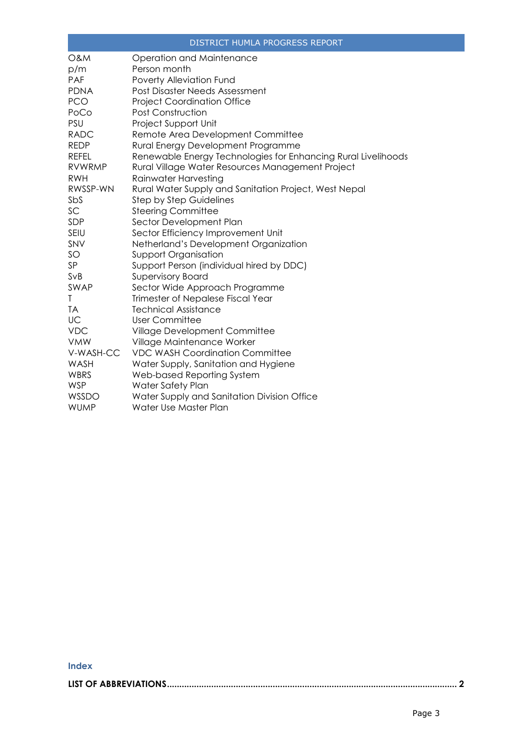|                | DISTRICT HUMLA PROGRESS REPORT                                |
|----------------|---------------------------------------------------------------|
| <b>O&amp;M</b> | Operation and Maintenance                                     |
| p/m            | Person month                                                  |
| PAF            | Poverty Alleviation Fund                                      |
| <b>PDNA</b>    | Post Disaster Needs Assessment                                |
| <b>PCO</b>     | <b>Project Coordination Office</b>                            |
| PoCo           | Post Construction                                             |
| PSU            | Project Support Unit                                          |
| <b>RADC</b>    | Remote Area Development Committee                             |
| <b>REDP</b>    | Rural Energy Development Programme                            |
| <b>REFEL</b>   | Renewable Energy Technologies for Enhancing Rural Livelihoods |
| <b>RVWRMP</b>  | Rural Village Water Resources Management Project              |
| <b>RWH</b>     | Rainwater Harvesting                                          |
| RWSSP-WN       | Rural Water Supply and Sanitation Project, West Nepal         |
| SbS            | <b>Step by Step Guidelines</b>                                |
| SC             | <b>Steering Committee</b>                                     |
| SDP            | Sector Development Plan                                       |
| SEIU           | Sector Efficiency Improvement Unit                            |
| SNV            | Netherland's Development Organization                         |
| SO             | <b>Support Organisation</b>                                   |
| SP             | Support Person (individual hired by DDC)                      |
| SVB            | <b>Supervisory Board</b>                                      |
| SWAP           | Sector Wide Approach Programme                                |
| Τ              | Trimester of Nepalese Fiscal Year                             |
| TA             | <b>Technical Assistance</b>                                   |
| UC             | <b>User Committee</b>                                         |
| <b>VDC</b>     | Village Development Committee                                 |
| <b>VMW</b>     | Village Maintenance Worker                                    |
| V-WASH-CC      | <b>VDC WASH Coordination Committee</b>                        |
| WASH           | Water Supply, Sanitation and Hygiene                          |
| WBRS           | Web-based Reporting System                                    |
| <b>WSP</b>     | Water Safety Plan                                             |
| WSSDO          | Water Supply and Sanitation Division Office                   |
| <b>WUMP</b>    | Water Use Master Plan                                         |

#### **Index**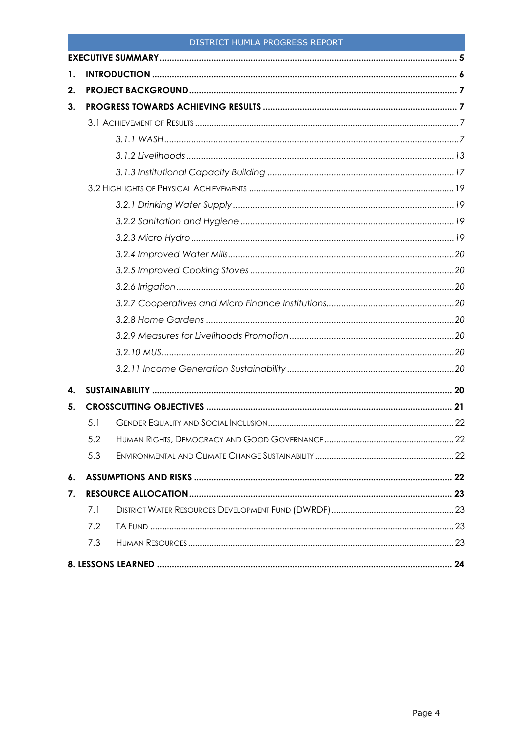| 1. |     |  |
|----|-----|--|
| 2. |     |  |
| 3. |     |  |
|    |     |  |
|    |     |  |
|    |     |  |
|    |     |  |
|    |     |  |
|    |     |  |
|    |     |  |
|    |     |  |
|    |     |  |
|    |     |  |
|    |     |  |
|    |     |  |
|    |     |  |
|    |     |  |
|    |     |  |
|    |     |  |
| 4. |     |  |
| 5. |     |  |
|    | 5.1 |  |
|    | 5.2 |  |
|    | 5.3 |  |
| 6. |     |  |
| 7. |     |  |
|    | 7.1 |  |
|    | 7.2 |  |
|    | 7.3 |  |
|    |     |  |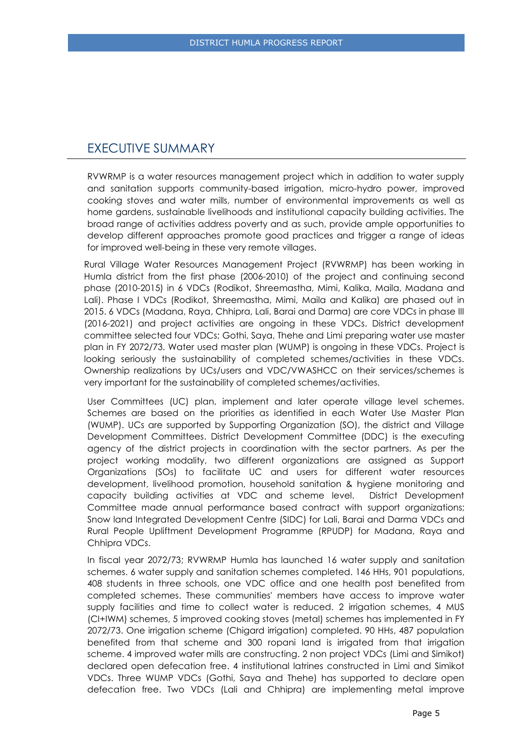### <span id="page-4-0"></span>EXECUTIVE SUMMARY

RVWRMP is a water resources management project which in addition to water supply and sanitation supports community-based irrigation, micro-hydro power, improved cooking stoves and water mills, number of environmental improvements as well as home gardens, sustainable livelihoods and institutional capacity building activities. The broad range of activities address poverty and as such, provide ample opportunities to develop different approaches promote good practices and trigger a range of ideas for improved well-being in these very remote villages.

Rural Village Water Resources Management Project (RVWRMP) has been working in Humla district from the first phase (2006-2010) of the project and continuing second phase (2010-2015) in 6 VDCs (Rodikot, Shreemastha, Mimi, Kalika, Maila, Madana and Lali). Phase I VDCs (Rodikot, Shreemastha, Mimi, Maila and Kalika) are phased out in 2015. 6 VDCs (Madana, Raya, Chhipra, Lali, Barai and Darma) are core VDCs in phase III (2016-2021) and project activities are ongoing in these VDCs. District development committee selected four VDCs; Gothi, Saya, Thehe and Limi preparing water use master plan in FY 2072/73. Water used master plan (WUMP) is ongoing in these VDCs. Project is looking seriously the sustainability of completed schemes/activities in these VDCs. Ownership realizations by UCs/users and VDC/VWASHCC on their services/schemes is very important for the sustainability of completed schemes/activities.

User Committees (UC) plan, implement and later operate village level schemes. Schemes are based on the priorities as identified in each Water Use Master Plan (WUMP). UCs are supported by Supporting Organization (SO), the district and Village Development Committees. District Development Committee (DDC) is the executing agency of the district projects in coordination with the sector partners. As per the project working modality, two different organizations are assigned as Support Organizations (SOs) to facilitate UC and users for different water resources development, livelihood promotion, household sanitation & hygiene monitoring and capacity building activities at VDC and scheme level. District Development Committee made annual performance based contract with support organizations; Snow land Integrated Development Centre (SIDC) for Lali, Barai and Darma VDCs and Rural People Upliftment Development Programme (RPUDP) for Madana, Raya and Chhipra VDCs.

In fiscal year 2072/73; RVWRMP Humla has launched 16 water supply and sanitation schemes. 6 water supply and sanitation schemes completed. 146 HHs, 901 populations, 408 students in three schools, one VDC office and one health post benefited from completed schemes. These communities' members have access to improve water supply facilities and time to collect water is reduced. 2 irrigation schemes, 4 MUS (CI+IWM) schemes, 5 improved cooking stoves (metal) schemes has implemented in FY 2072/73. One irrigation scheme (Chigard irrigation) completed. 90 HHs, 487 population benefited from that scheme and 300 ropani land is irrigated from that irrigation scheme. 4 improved water mills are constructing. 2 non project VDCs (Limi and Simikot) declared open defecation free. 4 institutional latrines constructed in Limi and Simikot VDCs. Three WUMP VDCs (Gothi, Saya and Thehe) has supported to declare open defecation free. Two VDCs (Lali and Chhipra) are implementing metal improve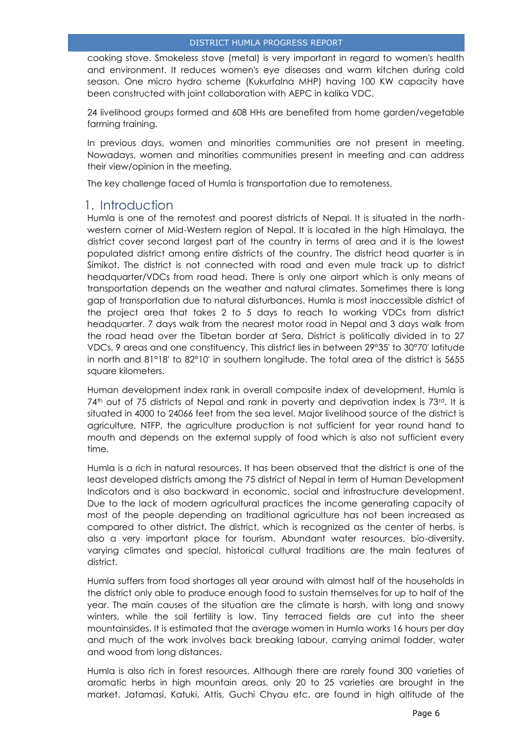cooking stove. Smokeless stove (metal) is very important in regard to women's health and environment. It reduces women's eye diseases and warm kitchen during cold season. One micro hydro scheme (Kukurfalna MHP) having 100 KW capacity have been constructed with joint collaboration with AEPC in kalika VDC.

24 livelihood groups formed and 608 HHs are benefited from home garden/vegetable farming training.

In previous days, women and minorities communities are not present in meeting. Nowadays, women and minorities communities present in meeting and can address their view/opinion in the meeting.

The key challenge faced of Humla is transportation due to remoteness.

### <span id="page-5-0"></span>1. Introduction

Humla is one of the remotest and poorest districts of Nepal. It is situated in the northwestern corner of Mid-Western region of Nepal. It is located in the high Himalaya, the district cover second largest part of the country in terms of area and it is the lowest populated district among entire districts of the country. The district head quarter is in Simikot. The district is not connected with road and even mule track up to district headquarter/VDCs from road head. There is only one airport which is only means of transportation depends on the weather and natural climates. Sometimes there is long gap of transportation due to natural disturbances. Humla is most inaccessible district of the project area that takes 2 to 5 days to reach to working VDCs from district headquarter. 7 days walk from the nearest motor road in Nepal and 3 days walk from the road head over the Tibetan border at Sera. District is politically divided in to 27 VDCs, 9 areas and one constituency. This district lies in between 29°35' to 30°70' latitude in north and 81°18' to 82°10' in southern longitude. The total area of the district is 5655 square kilometers.

Human development index rank in overall composite index of development, Humla is  $74<sup>th</sup>$  out of 75 districts of Nepal and rank in poverty and deprivation index is  $73<sup>rd</sup>$ . It is situated in 4000 to 24066 feet from the sea level. Major livelihood source of the district is agriculture, NTFP, the agriculture production is not sufficient for year round hand to mouth and depends on the external supply of food which is also not sufficient every time.

Humla is a rich in natural resources. It has been observed that the district is one of the least developed districts among the 75 district of Nepal in term of Human Development Indicators and is also backward in economic, social and infrastructure development. Due to the lack of modern agricultural practices the income generating capacity of most of the people depending on traditional agriculture has not been increased as compared to other district. The district, which is recognized as the center of herbs, is also a very important place for tourism. Abundant water resources, bio-diversity, varying climates and special, historical cultural traditions are the main features of district.

Humla suffers from food shortages all year around with almost half of the households in the district only able to produce enough food to sustain themselves for up to half of the year. The main causes of the situation are the climate is harsh, with long and snowy winters, while the soil fertility is low. Tiny terraced fields are cut into the sheer mountainsides. It is estimated that the average women in Humla works 16 hours per day and much of the work involves back breaking labour, carrying animal fodder, water and wood from long distances.

Humla is also rich in forest resources. Although there are rarely found 300 varieties of aromatic herbs in high mountain areas, only 20 to 25 varieties are brought in the market. Jatamasi, Katuki, Attis, Guchi Chyau etc. are found in high altitude of the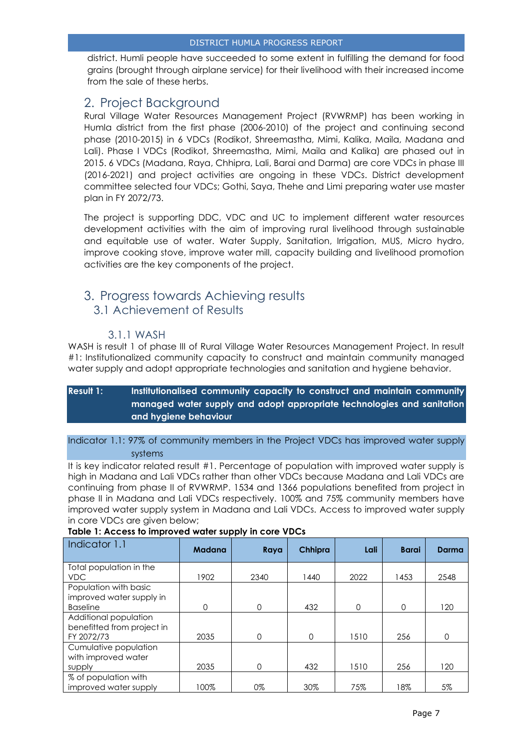district. Humli people have succeeded to some extent in fulfilling the demand for food grains (brought through airplane service) for their livelihood with their increased income from the sale of these herbs.

### <span id="page-6-0"></span>2. Project Background

Rural Village Water Resources Management Project (RVWRMP) has been working in Humla district from the first phase (2006-2010) of the project and continuing second phase (2010-2015) in 6 VDCs (Rodikot, Shreemastha, Mimi, Kalika, Maila, Madana and Lali). Phase I VDCs (Rodikot, Shreemastha, Mimi, Maila and Kalika) are phased out in 2015. 6 VDCs (Madana, Raya, Chhipra, Lali, Barai and Darma) are core VDCs in phase III (2016-2021) and project activities are ongoing in these VDCs. District development committee selected four VDCs; Gothi, Saya, Thehe and Limi preparing water use master plan in FY 2072/73.

The project is supporting DDC, VDC and UC to implement different water resources development activities with the aim of improving rural livelihood through sustainable and equitable use of water. Water Supply, Sanitation, Irrigation, MUS, Micro hydro, improve cooking stove, improve water mill, capacity building and livelihood promotion activities are the key components of the project.

### <span id="page-6-2"></span><span id="page-6-1"></span>3. Progress towards Achieving results 3.1 Achievement of Results

### 3.1.1 WASH

<span id="page-6-3"></span>WASH is result 1 of phase III of Rural Village Water Resources Management Project. In result #1: Institutionalized community capacity to construct and maintain community managed water supply and adopt appropriate technologies and sanitation and hygiene behavior.

### **Result 1: Institutionalised community capacity to construct and maintain community managed water supply and adopt appropriate technologies and sanitation and hygiene behaviour**

Indicator 1.1: 97% of community members in the Project VDCs has improved water supply systems

It is key indicator related result #1. Percentage of population with improved water supply is high in Madana and Lali VDCs rather than other VDCs because Madana and Lali VDCs are continuing from phase II of RVWRMP. 1534 and 1366 populations benefited from project in phase II in Madana and Lali VDCs respectively. 100% and 75% community members have improved water supply system in Madana and Lali VDCs. Access to improved water supply in core VDCs are given below;

| Indicator 1.1                                                     | <b>Madana</b> | Raya | Chhipra  | Lali     | <b>Barai</b> | Darma    |
|-------------------------------------------------------------------|---------------|------|----------|----------|--------------|----------|
| Total population in the                                           |               |      |          |          |              |          |
| VDC.                                                              | 1902          | 2340 | 1440     | 2022     | 1453         | 2548     |
| Population with basic                                             |               |      |          |          |              |          |
| improved water supply in                                          |               |      |          |          |              |          |
| <b>Baseline</b>                                                   | 0             | 0    | 432      | $\Omega$ | $\Omega$     | 120      |
| Additional population<br>benefitted from project in<br>FY 2072/73 | 2035          | 0    | $\Omega$ | 1510     | 256          | $\Omega$ |
| Cumulative population<br>with improved water                      |               |      |          |          |              |          |
| supply                                                            | 2035          | 0    | 432      | 1510     | 256          | 120      |
| % of population with<br>improved water supply                     | 100%          | 0%   | 30%      | 75%      | 18%          | 5%       |

#### **Table 1: Access to improved water supply in core VDCs**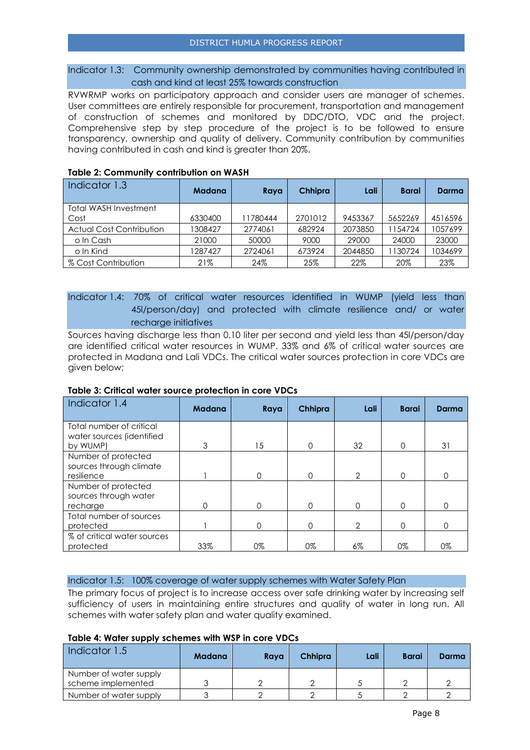#### Indicator 1.3: Community ownership demonstrated by communities having contributed in cash and kind at least 25% towards construction

RVWRMP works on participatory approach and consider users are manager of schemes. User committees are entirely responsible for procurement, transportation and management of construction of schemes and monitored by DDC/DTO, VDC and the project. Comprehensive step by step procedure of the project is to be followed to ensure transparency, ownership and quality of delivery. Community contribution by communities having contributed in cash and kind is greater than 20%.

| Indicator 1.3                   | Madana  | Raya     | Chhipra | Lali    | Barai   | Darma   |
|---------------------------------|---------|----------|---------|---------|---------|---------|
| Total WASH Investment           |         |          |         |         |         |         |
| Cost                            | 6330400 | 11780444 | 2701012 | 9453367 | 5652269 | 4516596 |
| <b>Actual Cost Contribution</b> | 308427  | 2774061  | 682924  | 2073850 | 1154724 | 1057699 |
| o In Cash                       | 21000   | 50000    | 9000    | 29000   | 24000   | 23000   |
| o In Kind                       | 1287427 | 2724061  | 673924  | 2044850 | 1130724 | 1034699 |
| % Cost Contribution             | 21%     | 24%      | 25%     | 22%     | 20%     | 23%     |

#### **Table 2: Community contribution on WASH**

#### Indicator 1.4: 70% of critical water resources identified in WUMP (yield less than 45l/person/day) and protected with climate resilience and/ or water recharge initiatives

Sources having discharge less than 0.10 liter per second and yield less than 45l/person/day are identified critical water resources in WUMP. 33% and 6% of critical water sources are protected in Madana and Lali VDCs. The critical water sources protection in core VDCs are given below;

#### **Table 3: Critical water source protection in core VDCs**

| Indicator 1.4               | <b>Madana</b> | Raya | Chhipra | Lali           | <b>Barai</b> | Darma |
|-----------------------------|---------------|------|---------|----------------|--------------|-------|
| Total number of critical    |               |      |         |                |              |       |
| water sources (identified   |               |      |         |                |              |       |
| by WUMP)                    | 3             | 15   | 0       | 32             | $\Omega$     | 31    |
| Number of protected         |               |      |         |                |              |       |
| sources through climate     |               |      |         |                |              |       |
| resilience                  |               | 0    | 0       | $\mathcal{P}$  | $\Omega$     | 0     |
| Number of protected         |               |      |         |                |              |       |
| sources through water       |               |      |         |                |              |       |
| recharge                    | 0             | 0    | 0       | $\Omega$       | $\Omega$     | O     |
| Total number of sources     |               |      |         |                |              |       |
| protected                   |               | 0    | 0       | $\overline{2}$ | $\Omega$     | ∩     |
| % of critical water sources |               |      |         |                |              |       |
| protected                   | 33%           | 0%   | 0%      | $6\%$          | 0%           | 0%    |

#### Indicator 1.5: 100% coverage of water supply schemes with Water Safety Plan

The primary focus of project is to increase access over safe drinking water by increasing self sufficiency of users in maintaining entire structures and quality of water in long run. All schemes with water safety plan and water quality examined.

#### **Table 4: Water supply schemes with WSP in core VDCs**

| Indicator 1.5          | Madana | Raya | <b>Chhipra</b> | Lali | <b>Barai</b> | Darma |
|------------------------|--------|------|----------------|------|--------------|-------|
| Number of water supply |        |      |                |      |              |       |
| scheme implemented     |        |      |                |      |              |       |
| Number of water supply |        |      |                |      |              |       |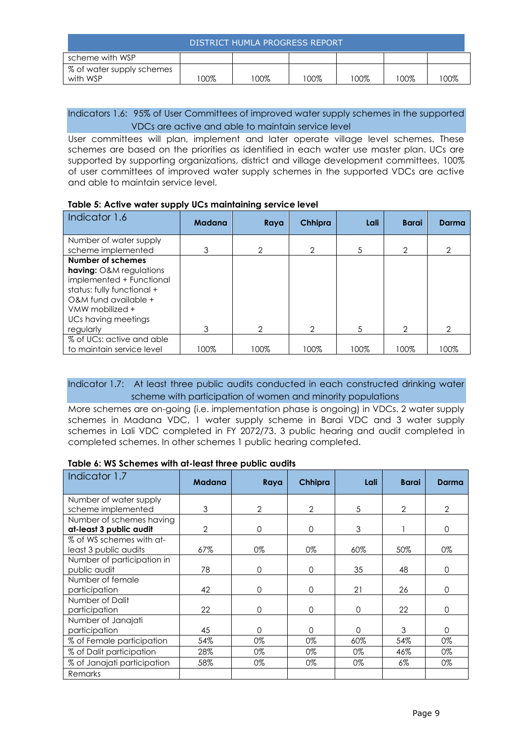| DISTRICT HUMLA PROGRESS REPORT        |        |      |      |      |        |      |
|---------------------------------------|--------|------|------|------|--------|------|
| scheme with WSP                       |        |      |      |      |        |      |
| % of water supply schemes<br>with WSP | $00\%$ | 100% | '00% | 100% | $00\%$ | 100% |

#### Indicators 1.6: 95% of User Committees of improved water supply schemes in the supported VDCs are active and able to maintain service level

User committees will plan, implement and later operate village level schemes. These schemes are based on the priorities as identified in each water use master plan. UCs are supported by supporting organizations, district and village development committees. 100% of user committees of improved water supply schemes in the supported VDCs are active and able to maintain service level.

#### **Table 5: Active water supply UCs maintaining service level**

| Indicator 1.6                                                                                                                                                                   | <b>Madana</b> | Raya          | Chhipra       | Lali | <b>Barai</b>  | Darma |
|---------------------------------------------------------------------------------------------------------------------------------------------------------------------------------|---------------|---------------|---------------|------|---------------|-------|
| Number of water supply                                                                                                                                                          |               |               |               |      |               |       |
| scheme implemented                                                                                                                                                              | 3             | 2             | 2             | 5    | 2             | 2     |
| Number of schemes<br><b>having:</b> O&M regulations<br>implemented + Functional<br>status: fully functional +<br>O&M fund available +<br>VMW mobilized +<br>UCs having meetings |               |               |               |      |               |       |
| regularly                                                                                                                                                                       | 3             | $\mathcal{P}$ | $\mathcal{P}$ | 5    | $\mathcal{P}$ | 2     |
| % of UCs: active and able<br>to maintain service level                                                                                                                          | 100%          | 100%          | 100%          | 100% | 100%          | 100%  |

#### Indicator 1.7: At least three public audits conducted in each constructed drinking water scheme with participation of women and minority populations

More schemes are on-going (i.e. implementation phase is ongoing) in VDCs. 2 water supply schemes in Madana VDC, 1 water supply scheme in Barai VDC and 3 water supply schemes in Lali VDC completed in FY 2072/73. 3 public hearing and audit completed in completed schemes. In other schemes 1 public hearing completed.

#### **Table 6: WS Schemes with at-least three public audits**

| Indicator 1.7               | <b>Madana</b>  | Raya           | Chhipra  | Lali     | <b>Barai</b>   | Darma          |
|-----------------------------|----------------|----------------|----------|----------|----------------|----------------|
| Number of water supply      |                |                |          |          |                |                |
| scheme implemented          | 3              | $\overline{2}$ | 2        | 5        | $\overline{2}$ | $\overline{2}$ |
| Number of schemes having    |                |                |          |          |                |                |
| at-least 3 public audit     | $\overline{2}$ | 0              | $\Omega$ | 3        |                | $\Omega$       |
| % of WS schemes with at-    |                |                |          |          |                |                |
| least 3 public audits       | 67%            | 0%             | 0%       | 60%      | 50%            | 0%             |
| Number of participation in  |                |                |          |          |                |                |
| public audit                | 78             | 0              | 0        | 35       | 48             | $\Omega$       |
| Number of female            |                |                |          |          |                |                |
| participation               | 42             | 0              | $\Omega$ | 21       | 26             | $\Omega$       |
| Number of Dalit             |                |                |          |          |                |                |
| participation               | 22             | 0              | $\Omega$ | $\Omega$ | 22             | $\Omega$       |
| Number of Janajati          |                |                |          |          |                |                |
| participation               | 45             | O              | 0        | ∩        | 3              | $\Omega$       |
| % of Female participation   | 54%            | 0%             | 0%       | $60\%$   | 54%            | 0%             |
| % of Dalit participation    | 28%            | 0%             | 0%       | 0%       | 46%            | 0%             |
| % of Janajati participation | 58%            | 0%             | 0%       | 0%       | 6%             | 0%             |
| Remarks                     |                |                |          |          |                |                |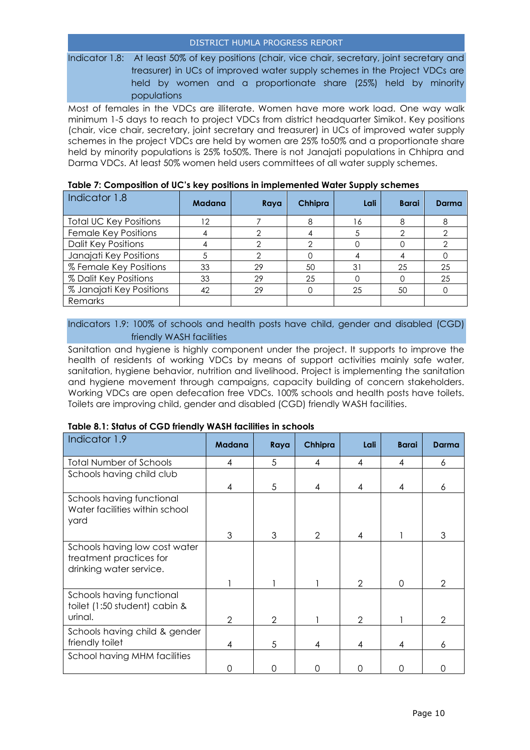Indicator 1.8: At least 50% of key positions (chair, vice chair, secretary, joint secretary and treasurer) in UCs of improved water supply schemes in the Project VDCs are held by women and a proportionate share (25%) held by minority populations

Most of females in the VDCs are illiterate. Women have more work load. One way walk minimum 1-5 days to reach to project VDCs from district headquarter Simikot. Key positions (chair, vice chair, secretary, joint secretary and treasurer) in UCs of improved water supply schemes in the project VDCs are held by women are 25% to50% and a proportionate share held by minority populations is 25% to50%. There is not Janajati populations in Chhipra and Darma VDCs. At least 50% women held users committees of all water supply schemes.

| Indicator 1.8                 | <b>Madana</b> | Raya | Chhipra | Lali | <b>Barai</b> | Darma |
|-------------------------------|---------------|------|---------|------|--------------|-------|
| <b>Total UC Key Positions</b> | 12            |      |         | 16   |              |       |
| Female Key Positions          |               |      |         |      |              |       |
| <b>Dalit Key Positions</b>    |               |      |         |      |              |       |
| Janajati Key Positions        |               |      |         |      |              |       |
| % Female Key Positions        | 33            | 29   | 50      | 31   | 25           | 25    |
| % Dalit Key Positions         | 33            | 29   | 25      |      |              | 25    |
| % Janajati Key Positions      | 42            | 29   |         | 25   | 50           |       |
| Remarks                       |               |      |         |      |              |       |

#### **Table 7: Composition of UC's key positions in implemented Water Supply schemes**

#### Indicators 1.9: 100% of schools and health posts have child, gender and disabled (CGD) friendly WASH facilities

Sanitation and hygiene is highly component under the project. It supports to improve the health of residents of working VDCs by means of support activities mainly safe water, sanitation, hygiene behavior, nutrition and livelihood. Project is implementing the sanitation and hygiene movement through campaigns, capacity building of concern stakeholders. Working VDCs are open defecation free VDCs. 100% schools and health posts have toilets. Toilets are improving child, gender and disabled (CGD) friendly WASH facilities.

| Indicator 1.9                                                                       | <b>Madana</b>  | Raya           | Chhipra       | Lali          | <b>Barai</b> | Darma         |
|-------------------------------------------------------------------------------------|----------------|----------------|---------------|---------------|--------------|---------------|
| <b>Total Number of Schools</b>                                                      | 4              | 5              | 4             | 4             | 4            | 6             |
| Schools having child club                                                           |                |                |               |               |              |               |
|                                                                                     | 4              | 5              | 4             | 4             | 4            | 6             |
| Schools having functional<br>Water facilities within school<br>yard                 |                |                |               |               |              |               |
|                                                                                     | 3              | 3              | $\mathcal{P}$ | 4             |              | 3             |
| Schools having low cost water<br>treatment practices for<br>drinking water service. |                |                |               |               |              |               |
|                                                                                     |                |                |               | $\mathcal{P}$ | O            | $\mathcal{P}$ |
| Schools having functional<br>toilet (1:50 student) cabin &                          |                |                |               |               |              |               |
| urinal.                                                                             | $\overline{2}$ | $\mathfrak{D}$ |               | $\mathcal{P}$ |              | 2             |
| Schools having child & gender<br>friendly toilet                                    | 4              | 5              | 4             | 4             | 4            | 6             |
| School having MHM facilities                                                        | ∩              |                |               |               |              |               |

#### **Table 8.1: Status of CGD friendly WASH facilities in schools**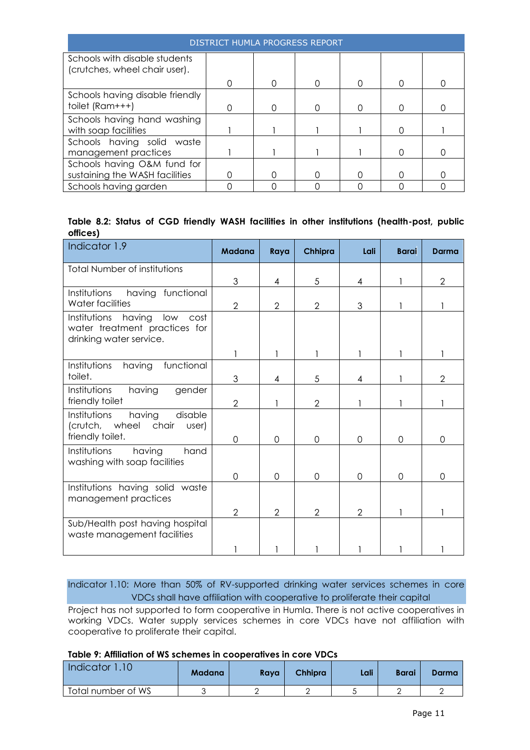| <b>DISTRICT HUMLA PROGRESS REPORT</b> |  |  |  |  |  |  |  |  |  |  |
|---------------------------------------|--|--|--|--|--|--|--|--|--|--|
| Schools with disable students         |  |  |  |  |  |  |  |  |  |  |
| (crutches, wheel chair user).         |  |  |  |  |  |  |  |  |  |  |
|                                       |  |  |  |  |  |  |  |  |  |  |
| Schools having disable friendly       |  |  |  |  |  |  |  |  |  |  |
| toilet (Ram+++)                       |  |  |  |  |  |  |  |  |  |  |
| Schools having hand washing           |  |  |  |  |  |  |  |  |  |  |
| with soap facilities                  |  |  |  |  |  |  |  |  |  |  |
| Schools having solid waste            |  |  |  |  |  |  |  |  |  |  |
| management practices                  |  |  |  |  |  |  |  |  |  |  |
| Schools having O&M fund for           |  |  |  |  |  |  |  |  |  |  |
| sustaining the WASH facilities        |  |  |  |  |  |  |  |  |  |  |
| Schools having garden                 |  |  |  |  |  |  |  |  |  |  |

|          |  |  |  |  |  | Table 8.2: Status of CGD friendly WASH facilities in other institutions (health-post, public |  |
|----------|--|--|--|--|--|----------------------------------------------------------------------------------------------|--|
| offices) |  |  |  |  |  |                                                                                              |  |

| Indicator 1.9                                                                                  | <b>Madana</b>  | Raya           | Chhipra        | Lali           | <b>Barai</b> | Darma          |
|------------------------------------------------------------------------------------------------|----------------|----------------|----------------|----------------|--------------|----------------|
| <b>Total Number of institutions</b>                                                            | 3              | 4              | 5              | 4              |              | $\overline{2}$ |
| having<br>Institutions<br>functional<br>Water facilities                                       | $\overline{2}$ | $\overline{2}$ | $\overline{2}$ | 3              |              |                |
| Institutions having<br>low<br>cost<br>water treatment practices for<br>drinking water service. |                |                |                |                |              |                |
|                                                                                                |                |                |                |                |              |                |
| having<br>functional<br>Institutions<br>toilet.                                                | 3              | 4              | 5              | 4              |              | $\overline{2}$ |
| having<br>Institutions<br>gender<br>friendly toilet                                            | $\overline{2}$ |                | $\overline{2}$ |                |              |                |
| Institutions<br>having<br>disable<br>(crutch, wheel chair<br>user)<br>friendly toilet.         | 0              | $\Omega$       | $\Omega$       | $\Omega$       | $\Omega$     | $\Omega$       |
| having<br>Institutions<br>hand<br>washing with soap facilities                                 | 0              | $\Omega$       | $\Omega$       | $\Omega$       | $\Omega$     | $\Omega$       |
| Institutions having solid waste<br>management practices                                        |                |                |                |                |              |                |
|                                                                                                | 2              | 2              | $\overline{2}$ | $\overline{2}$ |              |                |
| Sub/Health post having hospital<br>waste management facilities                                 |                |                |                |                |              |                |
|                                                                                                |                |                |                |                |              |                |

Indicator 1.10: More than 50% of RV-supported drinking water services schemes in core VDCs shall have affiliation with cooperative to proliferate their capital

Project has not supported to form cooperative in Humla. There is not active cooperatives in working VDCs. Water supply services schemes in core VDCs have not affiliation with cooperative to proliferate their capital.

**Table 9: Affiliation of WS schemes in cooperatives in core VDCs**

| Indicator 1.10     | Madana | Rava | <b>Chhipra</b> | Lali | Barai | Darma |
|--------------------|--------|------|----------------|------|-------|-------|
| Total number of WS |        |      |                |      |       |       |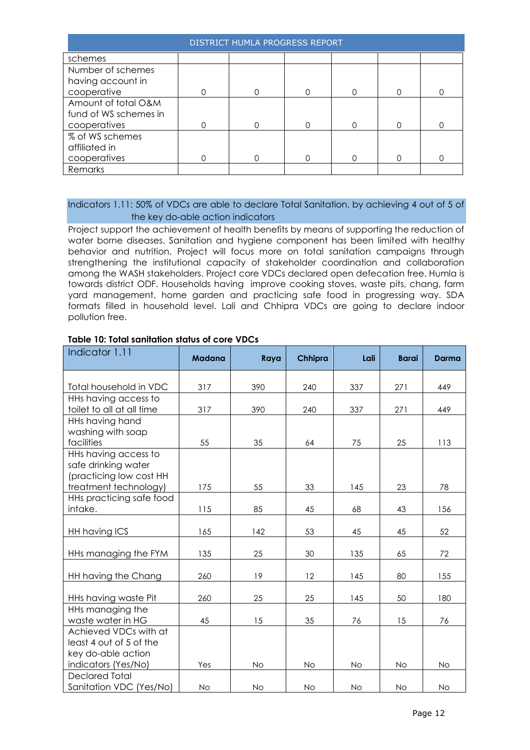| DISTRICT HUMLA PROGRESS REPORT |   |   |  |   |   |  |  |  |
|--------------------------------|---|---|--|---|---|--|--|--|
| schemes                        |   |   |  |   |   |  |  |  |
| Number of schemes              |   |   |  |   |   |  |  |  |
| having account in              |   |   |  |   |   |  |  |  |
| cooperative                    |   | Λ |  |   |   |  |  |  |
| Amount of total O&M            |   |   |  |   |   |  |  |  |
| fund of WS schemes in          |   |   |  |   |   |  |  |  |
| cooperatives                   | ∩ | 0 |  | ∩ | ∩ |  |  |  |
| % of WS schemes                |   |   |  |   |   |  |  |  |
| affiliated in                  |   |   |  |   |   |  |  |  |
| cooperatives                   |   | 0 |  | ∩ |   |  |  |  |
| Remarks                        |   |   |  |   |   |  |  |  |

#### Indicators 1.11: 50% of VDCs are able to declare Total Sanitation, by achieving 4 out of 5 of the key do-able action indicators

Project support the achievement of health benefits by means of supporting the reduction of water borne diseases. Sanitation and hygiene component has been limited with healthy behavior and nutrition. Project will focus more on total sanitation campaigns through strengthening the institutional capacity of stakeholder coordination and collaboration among the WASH stakeholders. Project core VDCs declared open defecation free. Humla is towards district ODF. Households having improve cooking stoves, waste pits, chang, farm yard management, home garden and practicing safe food in progressing way. SDA formats filled in household level. Lali and Chhipra VDCs are going to declare indoor pollution free.

| Indicator 1.11            | <b>Madana</b> | Raya | Chhipra   | Lali      | <b>Barai</b> | <b>Darma</b> |
|---------------------------|---------------|------|-----------|-----------|--------------|--------------|
| Total household in VDC    | 317           | 390  | 240       | 337       | 271          | 449          |
| HHs having access to      |               |      |           |           |              |              |
| toilet to all at all time | 317           | 390  | 240       | 337       | 271          | 449          |
| HHs having hand           |               |      |           |           |              |              |
| washing with soap         |               |      |           |           |              |              |
| facilities                | 55            | 35   | 64        | 75        | 25           | 113          |
| HHs having access to      |               |      |           |           |              |              |
| safe drinking water       |               |      |           |           |              |              |
| (practicing low cost HH   |               |      |           |           |              |              |
| treatment technology)     | 175           | 55   | 33        | 145       | 23           | 78           |
| HHs practicing safe food  |               | 85   |           |           |              |              |
| intake.                   | 115           |      | 45        | 68        | 43           | 156          |
| HH having ICS             | 165           | 142  | 53        | 45        | 45           | 52           |
|                           |               |      |           |           |              |              |
| HHs managing the FYM      | 135           | 25   | 30        | 135       | 65           | 72           |
| HH having the Chang       | 260           | 19   | 12        | 145       | 80           | 155          |
|                           |               |      |           |           |              |              |
| HHs having waste Pit      | 260           | 25   | 25        | 145       | 50           | 180          |
| HHs managing the          |               |      |           |           |              |              |
| waste water in HG         | 45            | 15   | 35        | 76        | 15           | 76           |
| Achieved VDCs with at     |               |      |           |           |              |              |
| least 4 out of 5 of the   |               |      |           |           |              |              |
| key do-able action        |               |      |           |           |              |              |
| indicators (Yes/No)       | Yes           | No   | <b>No</b> | <b>No</b> | <b>No</b>    | <b>No</b>    |
| <b>Declared Total</b>     |               |      |           |           |              |              |
| Sanitation VDC (Yes/No)   | No            | No   | No        | No        | <b>No</b>    | No           |

#### **Table 10: Total sanitation status of core VDCs**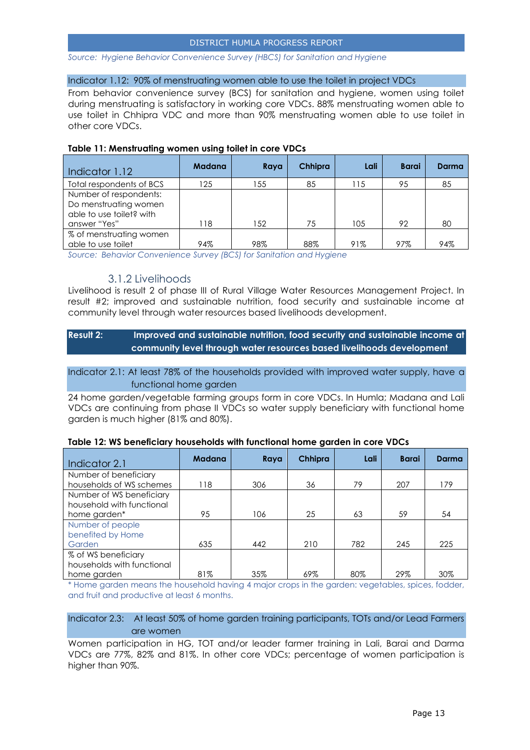#### *Source: Hygiene Behavior Convenience Survey (HBCS) for Sanitation and Hygiene*

#### Indicator 1.12: 90% of menstruating women able to use the toilet in project VDCs

From behavior convenience survey (BCS) for sanitation and hygiene, women using toilet during menstruating is satisfactory in working core VDCs. 88% menstruating women able to use toilet in Chhipra VDC and more than 90% menstruating women able to use toilet in other core VDCs.

#### **Table 11: Menstruating women using toilet in core VDCs**

| Indicator 1.12                                                                              | <b>Madana</b> | Raya | Chhipra | Lali | <b>Barai</b> | Darma |
|---------------------------------------------------------------------------------------------|---------------|------|---------|------|--------------|-------|
| Total respondents of BCS                                                                    | 125           | 155  | 85      | 115  | 95           | 85    |
| Number of respondents:<br>Do menstruating women<br>able to use toilet? with<br>answer "Yes" | 118           | 152  | 75      | 105  | 92           | 80    |
| % of menstruating women<br>able to use toilet                                               | 94%           | 98%  | 88%     | 91%  | 97%          | 94%   |

*Source: Behavior Convenience Survey (BCS) for Sanitation and Hygiene*

#### 3.1.2 Livelihoods

<span id="page-12-0"></span>Livelihood is result 2 of phase III of Rural Village Water Resources Management Project. In result #2; improved and sustainable nutrition, food security and sustainable income at community level through water resources based livelihoods development.

#### **Result 2: Improved and sustainable nutrition, food security and sustainable income at community level through water resources based livelihoods development**

#### Indicator 2.1: At least 78% of the households provided with improved water supply, have a functional home garden

24 home garden/vegetable farming groups form in core VDCs. In Humla; Madana and Lali VDCs are continuing from phase II VDCs so water supply beneficiary with functional home garden is much higher (81% and 80%).

| Indicator 2.1                                                    | <b>Madana</b> | Raya | Chhipra | Lali | <b>Barai</b> | Darma |
|------------------------------------------------------------------|---------------|------|---------|------|--------------|-------|
| Number of beneficiary<br>households of WS schemes                | 118           | 306  | 36      | 79   | 207          | 179   |
| Number of WS beneficiary<br>household with functional            |               |      |         |      |              |       |
| home garden*                                                     | 95            | 106  | 25      | 63   | 59           | 54    |
| Number of people<br>benefited by Home<br>Garden                  | 635           | 442  | 210     | 782  | 245          | 225   |
| % of WS beneficiary<br>households with functional<br>home garden | 81%           | 35%  | 69%     | 80%  | 29%          | 30%   |

#### **Table 12: WS beneficiary households with functional home garden in core VDCs**

\* Home garden means the household having 4 major crops in the garden: vegetables, spices, fodder, and fruit and productive at least 6 months.

#### Indicator 2.3: At least 50% of home garden training participants, TOTs and/or Lead Farmers are women

Women participation in HG, TOT and/or leader farmer training in Lali, Barai and Darma VDCs are 77%, 82% and 81%. In other core VDCs; percentage of women participation is higher than 90%.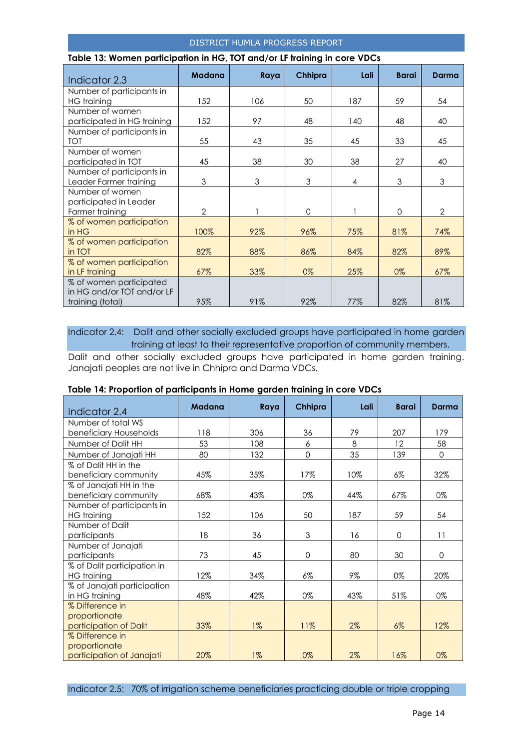| Table 13: Women participation in HG, TOT and/or LF training in core VDCs  |               |      |              |      |              |              |
|---------------------------------------------------------------------------|---------------|------|--------------|------|--------------|--------------|
| Indicator 2.3                                                             | <b>Madana</b> | Raya | Chhipra      | Lali | <b>Barai</b> | Darma        |
| Number of participants in<br>HG training                                  | 152           | 106  | 50           | 187  | 59           | 54           |
| Number of women<br>participated in HG training                            | 152           | 97   | 48           | 140  | 48           | 40           |
| Number of participants in<br>TOT                                          | 55            | 43   | 35           | 45   | 33           | 45           |
| Number of women<br>participated in TOT                                    | 45            | 38   | 30           | 38   | 27           | 40           |
| Number of participants in<br>Leader Farmer training                       | 3             | 3    | 3            | 4    | 3            | 3            |
| Number of women<br>participated in Leader<br>Farmer training              | 2             |      | $\mathbf{0}$ |      | $\Omega$     | $\mathbf{2}$ |
| % of women participation<br>in HG                                         | 100%          | 92%  | 96%          | 75%  | 81%          | 74%          |
| % of women participation<br>in TOT                                        | 82%           | 88%  | 86%          | 84%  | 82%          | 89%          |
| % of women participation<br>in LF training                                | 67%           | 33%  | 0%           | 25%  | 0%           | 67%          |
| % of women participated<br>in HG and/or TOT and/or LF<br>training (total) | 95%           | 91%  | 92%          | 77%  | 82%          | 81%          |

Indicator 2.4: Dalit and other socially excluded groups have participated in home garden training at least to their representative proportion of community members.

Dalit and other socially excluded groups have participated in home garden training. Janajati peoples are not live in Chhipra and Darma VDCs.

| Indicator 2.4                                                 | <b>Madana</b> | Raya  | Chhipra  | Lali | <b>Barai</b> | Darma        |
|---------------------------------------------------------------|---------------|-------|----------|------|--------------|--------------|
| Number of total WS                                            |               |       |          |      |              |              |
| beneficiary Households                                        | 118           | 306   | 36       | 79   | 207          | 179          |
| Number of Dalit HH                                            | 53            | 108   | 6        | 8    | 12           | 58           |
| Number of Janajati HH                                         | 80            | 132   | $\Omega$ | 35   | 139          | $\Omega$     |
| % of Dalit HH in the<br>beneficiary community                 | 45%           | 35%   | 17%      | 10%  | $6\%$        | 32%          |
| % of Janajati HH in the<br>beneficiary community              | 68%           | 43%   | $0\%$    | 44%  | 67%          | 0%           |
| Number of participants in<br><b>HG</b> training               | 152           | 106   | 50       | 187  | 59           | 54           |
| Number of Dalit<br>participants                               | 18            | 36    | 3        | 16   | 0            | 11           |
| Number of Janajati<br>participants                            | 73            | 45    | 0        | 80   | 30           | $\mathbf{0}$ |
| % of Dalit participation in<br><b>HG</b> training             | 12%           | 34%   | 6%       | 9%   | 0%           | 20%          |
| % of Janajati participation<br>in HG training                 | 48%           | 42%   | 0%       | 43%  | 51%          | 0%           |
| % Difference in<br>proportionate<br>participation of Dalit    | 33%           | $1\%$ | 11%      | 2%   | $6\%$        | 12%          |
| % Difference in<br>proportionate<br>participation of Janajati | 20%           | $1\%$ | 0%       | 2%   | 16%          | 0%           |

#### **Table 14: Proportion of participants in Home garden training in core VDCs**

Indicator 2.5: 70% of irrigation scheme beneficiaries practicing double or triple cropping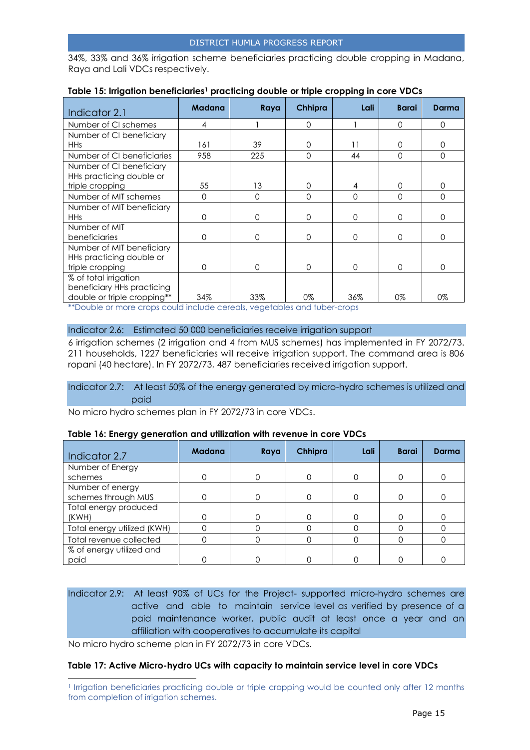34%, 33% and 36% irrigation scheme beneficiaries practicing double cropping in Madana, Raya and Lali VDCs respectively.

| Indicator 2.1               | <b>Madana</b> | Raya | Chhipra  | Lali     | <b>Barai</b> | Darma    |
|-----------------------------|---------------|------|----------|----------|--------------|----------|
| Number of CI schemes        | 4             |      | 0        |          | $\Omega$     | $\Omega$ |
| Number of CI beneficiary    |               |      |          |          |              |          |
| <b>HHs</b>                  | 161           | 39   | 0        | 11       | $\Omega$     | 0        |
| Number of CI beneficiaries  | 958           | 225  | 0        | 44       | $\Omega$     | $\Omega$ |
| Number of CI beneficiary    |               |      |          |          |              |          |
| HHs practicing double or    |               |      |          |          |              |          |
| triple cropping             | 55            | 13   | 0        | 4        | $\Omega$     | 0        |
| Number of MIT schemes       | $\Omega$      | 0    | 0        | $\Omega$ | $\Omega$     | $\Omega$ |
| Number of MIT beneficiary   |               |      |          |          |              |          |
| <b>HHs</b>                  | $\Omega$      | 0    | $\Omega$ | $\Omega$ | $\Omega$     | $\Omega$ |
| Number of MIT               |               |      |          |          |              |          |
| beneficiaries               | $\Omega$      | 0    | $\Omega$ | $\Omega$ | $\Omega$     | $\Omega$ |
| Number of MIT beneficiary   |               |      |          |          |              |          |
| HHs practicing double or    |               |      |          |          |              |          |
| triple cropping             | $\Omega$      | 0    | $\Omega$ | $\Omega$ | $\Omega$     | $\Omega$ |
| % of total irrigation       |               |      |          |          |              |          |
| beneficiary HHs practicing  |               |      |          |          |              |          |
| double or triple cropping** | 34%           | 33%  | 0%       | 36%      | 0%           | 0%       |

#### **Table 15: Irrigation beneficiaries<sup>1</sup> practicing double or triple cropping in core VDCs**

\*\*Double or more crops could include cereals, vegetables and tuber-crops

#### Indicator 2.6: Estimated 50 000 beneficiaries receive irrigation support

6 irrigation schemes (2 irrigation and 4 from MUS schemes) has implemented in FY 2072/73. 211 households, 1227 beneficiaries will receive irrigation support. The command area is 806 ropani (40 hectare). In FY 2072/73, 487 beneficiaries received irrigation support.

#### Indicator 2.7: At least 50% of the energy generated by micro-hydro schemes is utilized and paid

No micro hydro schemes plan in FY 2072/73 in core VDCs.

#### **Table 16: Energy generation and utilization with revenue in core VDCs**

| Indicator 2.7               | <b>Madana</b> | Raya | Chhipra | Lali | <b>Barai</b> | <b>Darma</b> |
|-----------------------------|---------------|------|---------|------|--------------|--------------|
| Number of Energy            |               |      |         |      |              |              |
| schemes                     |               |      |         |      | 0            |              |
| Number of energy            |               |      |         |      |              |              |
| schemes through MUS         |               |      |         |      | 0            |              |
| Total energy produced       |               |      |         |      |              |              |
| (KWH)                       |               |      |         |      |              |              |
| Total energy utilized (KWH) |               |      |         |      |              |              |
| Total revenue collected     |               |      |         |      |              |              |
| % of energy utilized and    |               |      |         |      |              |              |
| paid                        |               |      |         |      |              |              |

### Indicator 2.9: At least 90% of UCs for the Project- supported micro-hydro schemes are active and able to maintain service level as verified by presence of a paid maintenance worker, public audit at least once a year and an affiliation with cooperatives to accumulate its capital

No micro hydro scheme plan in FY 2072/73 in core VDCs.

l

#### **Table 17: Active Micro-hydro UCs with capacity to maintain service level in core VDCs**

<sup>1</sup> Irrigation beneficiaries practicing double or triple cropping would be counted only after 12 months from completion of irrigation schemes.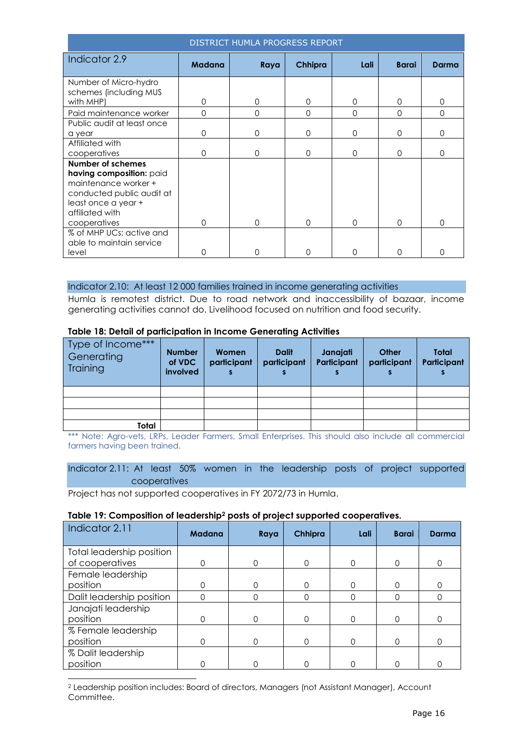| DISTRICT HUMLA PROGRESS REPORT                                                                                                               |               |          |          |          |              |          |  |
|----------------------------------------------------------------------------------------------------------------------------------------------|---------------|----------|----------|----------|--------------|----------|--|
| Indicator 2.9                                                                                                                                | <b>Madana</b> | Raya     | Chhipra  | Lali     | <b>Barai</b> | Darma    |  |
| Number of Micro-hydro                                                                                                                        |               |          |          |          |              |          |  |
| schemes (including MUS<br>with MHP)                                                                                                          | 0             | 0        | 0        | $\Omega$ | 0            | 0        |  |
| Paid maintenance worker                                                                                                                      | $\Omega$      | $\Omega$ | $\Omega$ | $\Omega$ | $\Omega$     | $\Omega$ |  |
| Public audit at least once                                                                                                                   |               |          |          |          |              |          |  |
| a year                                                                                                                                       | 0             | $\Omega$ | $\Omega$ | $\Omega$ | $\Omega$     | $\Omega$ |  |
| Affiliated with                                                                                                                              |               |          |          |          |              |          |  |
| cooperatives                                                                                                                                 | 0             | 0        | $\Omega$ | 0        | $\Omega$     | 0        |  |
| Number of schemes<br>having composition: paid<br>maintenance worker +<br>conducted public audit at<br>least once a year +<br>affiliated with |               |          |          |          |              |          |  |
| cooperatives                                                                                                                                 | 0             | O        | 0        | 0        | $\Omega$     | $\Omega$ |  |
| % of MHP UCs: active and<br>able to maintain service                                                                                         |               |          |          |          |              |          |  |
| level                                                                                                                                        | O             | O        | ∩        | ∩        | ∩            | O        |  |

#### Indicator 2.10: At least 12 000 families trained in income generating activities

Humla is remotest district. Due to road network and inaccessibility of bazaar, income generating activities cannot do. Livelihood focused on nutrition and food security.

#### **Table 18: Detail of participation in Income Generating Activities**

| Type of Income***<br>Generating<br>Training | <b>Number</b><br>of VDC<br>involved | Women<br>participant | <b>Dalit</b><br>participant | Janajati<br>Participant | Other<br>participant | Total<br>Participant |
|---------------------------------------------|-------------------------------------|----------------------|-----------------------------|-------------------------|----------------------|----------------------|
|                                             |                                     |                      |                             |                         |                      |                      |
|                                             |                                     |                      |                             |                         |                      |                      |
|                                             |                                     |                      |                             |                         |                      |                      |
| Total                                       |                                     |                      |                             |                         |                      |                      |

\*\*\* Note: Agro-vets, LRPs, Leader Farmers, Small Enterprises. This should also include all commercial farmers having been trained.

Indicator 2.11: At least 50% women in the leadership posts of project supported cooperatives

Project has not supported cooperatives in FY 2072/73 in Humla.

l

#### **Table 19: Composition of leadership<sup>2</sup> posts of project supported cooperatives.**

| Indicator 2.11            | <b>Madana</b> | Raya | Chhipra | Lali | <b>Barai</b> | <b>Darma</b> |
|---------------------------|---------------|------|---------|------|--------------|--------------|
| Total leadership position |               |      |         |      |              |              |
| of cooperatives           | 0             | ∩    |         | ∩    | 0            |              |
| Female leadership         |               |      |         |      |              |              |
| position                  |               |      |         |      | $\Omega$     |              |
| Dalit leadership position | ი             |      |         |      | 0            |              |
| Janajati leadership       |               |      |         |      |              |              |
| position                  | ∩             |      |         | ∩    | 0            |              |
| % Female leadership       |               |      |         |      |              |              |
| position                  |               |      |         |      |              |              |
| % Dalit leadership        |               |      |         |      |              |              |
| position                  |               |      |         |      |              |              |

<sup>2</sup> Leadership position includes: Board of directors, Managers (not Assistant Manager), Account Committee.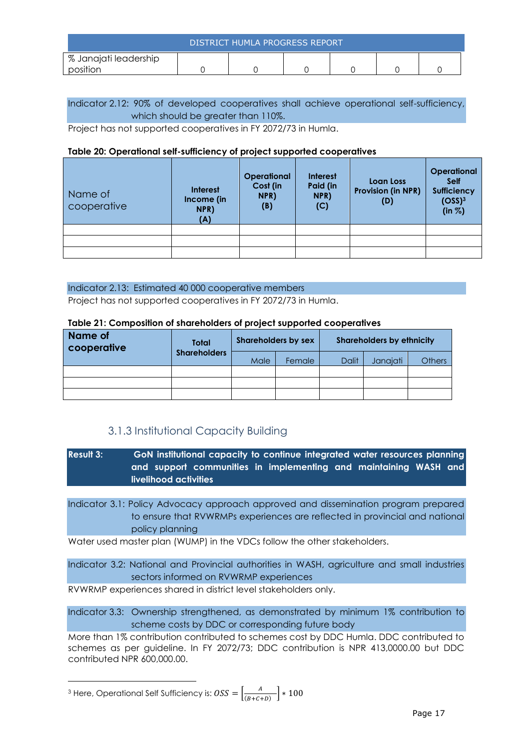| DISTRICT HUMLA PROGRESS REPORT |  |  |  |  |  |  |
|--------------------------------|--|--|--|--|--|--|
| % Janajati leadership          |  |  |  |  |  |  |
| nosition                       |  |  |  |  |  |  |

#### Indicator 2.12: 90% of developed cooperatives shall achieve operational self-sufficiency, which should be greater than 110%.

Project has not supported cooperatives in FY 2072/73 in Humla.

#### **Table 20: Operational self-sufficiency of project supported cooperatives**

| Name of<br>cooperative | Interest<br>Income (in<br>NPR)<br>(A) | <b>Operational</b><br>Cost (in<br>NPR)<br>(B) | <b>Interest</b><br>Paid (in<br>NPR)<br>(C) | Loan Loss<br><b>Provision (in NPR)</b><br>(D) | Operational<br><b>Self</b><br><b>Sufficiency</b><br>(OSS) <sup>3</sup><br>(in  %) |
|------------------------|---------------------------------------|-----------------------------------------------|--------------------------------------------|-----------------------------------------------|-----------------------------------------------------------------------------------|
|                        |                                       |                                               |                                            |                                               |                                                                                   |
|                        |                                       |                                               |                                            |                                               |                                                                                   |
|                        |                                       |                                               |                                            |                                               |                                                                                   |

#### Indicator 2.13: Estimated 40 000 cooperative members

Project has not supported cooperatives in FY 2072/73 in Humla.

#### **Table 21: Composition of shareholders of project supported cooperatives**

| Name of<br>cooperative | <b>Total</b>        | <b>Shareholders by sex</b> |        |              | <b>Shareholders by ethnicity</b> |               |
|------------------------|---------------------|----------------------------|--------|--------------|----------------------------------|---------------|
|                        | <b>Shareholders</b> | Male                       | Female | <b>Dalit</b> | Janajati                         | <b>Others</b> |
|                        |                     |                            |        |              |                                  |               |
|                        |                     |                            |        |              |                                  |               |

### 3.1.3 Institutional Capacity Building

<span id="page-16-0"></span>**Result 3: GoN institutional capacity to continue integrated water resources planning and support communities in implementing and maintaining WASH and livelihood activities**

Indicator 3.1: Policy Advocacy approach approved and dissemination program prepared to ensure that RVWRMPs experiences are reflected in provincial and national policy planning

Water used master plan (WUMP) in the VDCs follow the other stakeholders.

Indicator 3.2: National and Provincial authorities in WASH, agriculture and small industries sectors informed on RVWRMP experiences

RVWRMP experiences shared in district level stakeholders only.

Indicator 3.3: Ownership strengthened, as demonstrated by minimum 1% contribution to scheme costs by DDC or corresponding future body

More than 1% contribution contributed to schemes cost by DDC Humla. DDC contributed to schemes as per guideline. In FY 2072/73; DDC contribution is NPR 413,0000.00 but DDC contributed NPR 600,000.00.

<sup>3</sup> Here, Operational Self Sufficiency is:  $\textit{OSS} = \left[\frac{A}{\text{Cov}^2}\right]$  $\frac{A}{(B+C+D)}$  \* 100

l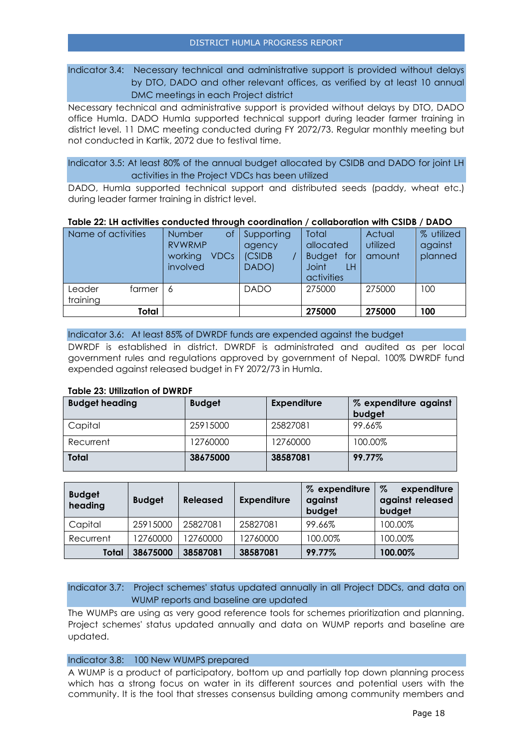Indicator 3.4: Necessary technical and administrative support is provided without delays by DTO, DADO and other relevant offices, as verified by at least 10 annual DMC meetings in each Project district

Necessary technical and administrative support is provided without delays by DTO, DADO office Humla. DADO Humla supported technical support during leader farmer training in district level. 11 DMC meeting conducted during FY 2072/73. Regular monthly meeting but not conducted in Kartik, 2072 due to festival time.

Indicator 3.5: At least 80% of the annual budget allocated by CSIDB and DADO for joint LH activities in the Project VDCs has been utilized

DADO, Humla supported technical support and distributed seeds (paddy, wheat etc.) during leader farmer training in district level.

#### **Table 22: LH activities conducted through coordination / collaboration with CSIDB / DADO**

| Name of activities           | <b>Number</b><br>Οt<br><b>RVWRMP</b><br>working/<br><b>VDCs</b><br>involved | Supporting<br>agency<br>(CSIDB<br>DADO) | Total<br>allocated<br><b>Budget</b><br>for<br><b>Joint</b><br>LH<br>activities | Actual<br>utilized<br>amount | % utilized<br>against<br>planned |
|------------------------------|-----------------------------------------------------------------------------|-----------------------------------------|--------------------------------------------------------------------------------|------------------------------|----------------------------------|
| Leader<br>farmer<br>training | 6                                                                           | <b>DADO</b>                             | 275000                                                                         | 275000                       | 100                              |
| Total                        |                                                                             |                                         | 275000                                                                         | 275000                       | 100                              |

#### Indicator 3.6: At least 85% of DWRDF funds are expended against the budget

DWRDF is established in district. DWRDF is administrated and audited as per local government rules and regulations approved by government of Nepal. 100% DWRDF fund expended against released budget in FY 2072/73 in Humla.

#### **Table 23: Utilization of DWRDF**

| <b>Budget heading</b> | <b>Budget</b> | <b>Expenditure</b> | % expenditure against<br>budget |
|-----------------------|---------------|--------------------|---------------------------------|
| Capital               | 25915000      | 25827081           | 99.66%                          |
| Recurrent             | 12760000      | 12760000           | 100.00%                         |
| <b>Total</b>          | 38675000      | 38587081           | 99.77%                          |

| <b>Budget</b><br>heading | <b>Budget</b> | <b>Released</b> | <b>Expenditure</b> | % expenditure<br>against<br>budget | $\%$<br>expenditure<br>against released<br>budget |
|--------------------------|---------------|-----------------|--------------------|------------------------------------|---------------------------------------------------|
| Capital                  | 25915000      | 25827081        | 25827081           | 99.66%                             | 100.00%                                           |
| Recurrent                | 12760000      | 12760000        | 12760000           | 100.00%                            | 100.00%                                           |
| Total                    | 38675000      | 38587081        | 38587081           | 99.77%                             | 100.00%                                           |

#### Indicator 3.7: Project schemes' status updated annually in all Project DDCs, and data on WUMP reports and baseline are updated

The WUMPs are using as very good reference tools for schemes prioritization and planning. Project schemes' status updated annually and data on WUMP reports and baseline are updated.

#### Indicator 3.8: 100 New WUMPS prepared

A WUMP is a product of participatory, bottom up and partially top down planning process which has a strong focus on water in its different sources and potential users with the community. It is the tool that stresses consensus building among community members and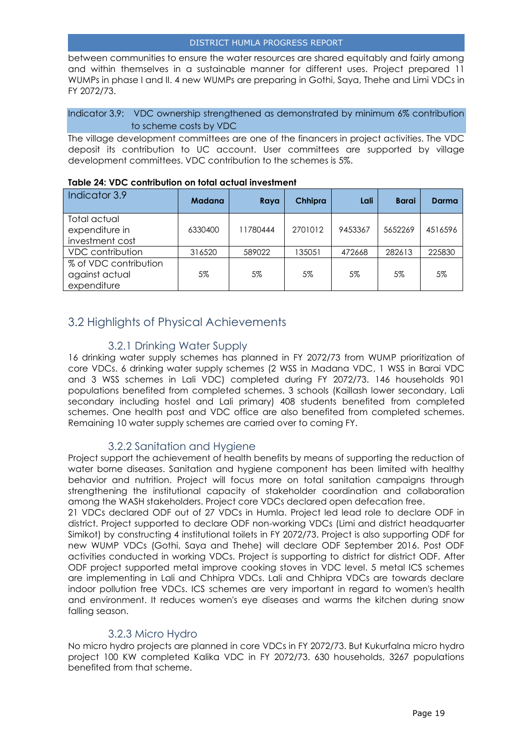between communities to ensure the water resources are shared equitably and fairly among and within themselves in a sustainable manner for different uses. Project prepared 11 WUMPs in phase I and II. 4 new WUMPs are preparing in Gothi, Saya, Thehe and Limi VDCs in FY 2072/73.

Indicator 3.9: VDC ownership strengthened as demonstrated by minimum 6% contribution to scheme costs by VDC

The village development committees are one of the financers in project activities. The VDC deposit its contribution to UC account. User committees are supported by village development committees. VDC contribution to the schemes is 5%.

| Indicator 3.9                                          | <b>Madana</b> | Raya     | Chhipra | Lali    | <b>Barai</b> | <b>Darma</b> |
|--------------------------------------------------------|---------------|----------|---------|---------|--------------|--------------|
| Total actual<br>expenditure in<br>investment cost      | 6330400       | 11780444 | 2701012 | 9453367 | 5652269      | 4516596      |
| <b>VDC</b> contribution                                | 316520        | 589022   | 135051  | 472668  | 282613       | 225830       |
| % of VDC contribution<br>against actual<br>expenditure | 5%            | 5%       | 5%      | 5%      | 5%           | 5%           |

#### **Table 24: VDC contribution on total actual investment**

### <span id="page-18-0"></span>3.2 Highlights of Physical Achievements

### 3.2.1 Drinking Water Supply

<span id="page-18-1"></span>16 drinking water supply schemes has planned in FY 2072/73 from WUMP prioritization of core VDCs. 6 drinking water supply schemes (2 WSS in Madana VDC, 1 WSS in Barai VDC and 3 WSS schemes in Lali VDC) completed during FY 2072/73. 146 households 901 populations benefited from completed schemes. 3 schools (Kaillash lower secondary, Lali secondary including hostel and Lali primary) 408 students benefited from completed schemes. One health post and VDC office are also benefited from completed schemes. Remaining 10 water supply schemes are carried over to coming FY.

#### 3.2.2 Sanitation and Hygiene

<span id="page-18-2"></span>Project support the achievement of health benefits by means of supporting the reduction of water borne diseases. Sanitation and hygiene component has been limited with healthy behavior and nutrition. Project will focus more on total sanitation campaigns through strengthening the institutional capacity of stakeholder coordination and collaboration among the WASH stakeholders. Project core VDCs declared open defecation free.

21 VDCs declared ODF out of 27 VDCs in Humla. Project led lead role to declare ODF in district. Project supported to declare ODF non-working VDCs (Limi and district headquarter Simikot) by constructing 4 institutional toilets in FY 2072/73. Project is also supporting ODF for new WUMP VDCs (Gothi, Saya and Thehe) will declare ODF September 2016. Post ODF activities conducted in working VDCs. Project is supporting to district for district ODF. After ODF project supported metal improve cooking stoves in VDC level. 5 metal ICS schemes are implementing in Lali and Chhipra VDCs. Lali and Chhipra VDCs are towards declare indoor pollution free VDCs. ICS schemes are very important in regard to women's health and environment. It reduces women's eye diseases and warms the kitchen during snow falling season.

#### 3.2.3 Micro Hydro

<span id="page-18-3"></span>No micro hydro projects are planned in core VDCs in FY 2072/73. But Kukurfalna micro hydro project 100 KW completed Kalika VDC in FY 2072/73. 630 households, 3267 populations benefited from that scheme.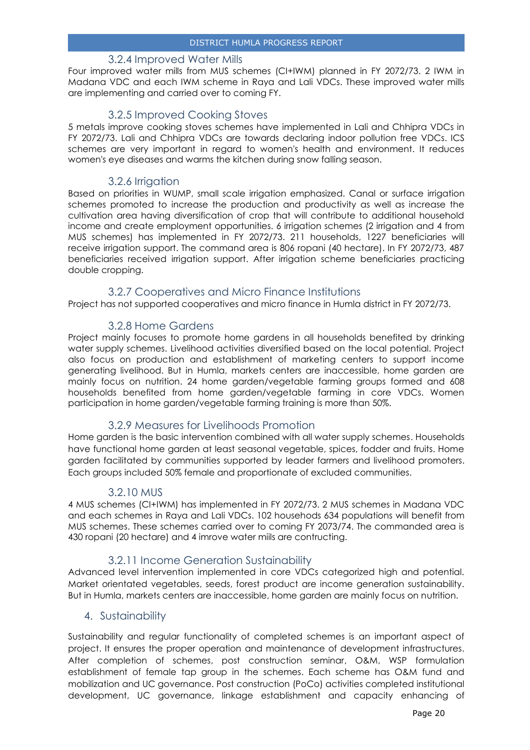#### 3.2.4 Improved Water Mills

<span id="page-19-0"></span>Four improved water mills from MUS schemes (CI+IWM) planned in FY 2072/73. 2 IWM in Madana VDC and each IWM scheme in Raya and Lali VDCs. These improved water mills are implementing and carried over to coming FY.

#### 3.2.5 Improved Cooking Stoves

<span id="page-19-1"></span>5 metals improve cooking stoves schemes have implemented in Lali and Chhipra VDCs in FY 2072/73. Lali and Chhipra VDCs are towards declaring indoor pollution free VDCs. ICS schemes are very important in regard to women's health and environment. It reduces women's eye diseases and warms the kitchen during snow falling season.

#### 3.2.6 Irrigation

<span id="page-19-2"></span>Based on priorities in WUMP, small scale irrigation emphasized. Canal or surface irrigation schemes promoted to increase the production and productivity as well as increase the cultivation area having diversification of crop that will contribute to additional household income and create employment opportunities. 6 irrigation schemes (2 irrigation and 4 from MUS schemes) has implemented in FY 2072/73. 211 households, 1227 beneficiaries will receive irrigation support. The command area is 806 ropani (40 hectare). In FY 2072/73, 487 beneficiaries received irrigation support. After irrigation scheme beneficiaries practicing double cropping.

#### 3.2.7 Cooperatives and Micro Finance Institutions

<span id="page-19-3"></span>Project has not supported cooperatives and micro finance in Humla district in FY 2072/73.

#### 3.2.8 Home Gardens

<span id="page-19-4"></span>Project mainly focuses to promote home gardens in all households benefited by drinking water supply schemes. Livelihood activities diversified based on the local potential. Project also focus on production and establishment of marketing centers to support income generating livelihood. But in Humla, markets centers are inaccessible, home garden are mainly focus on nutrition. 24 home garden/vegetable farming groups formed and 608 households benefited from home garden/vegetable farming in core VDCs. Women participation in home garden/vegetable farming training is more than 50%.

#### 3.2.9 Measures for Livelihoods Promotion

<span id="page-19-5"></span>Home garden is the basic intervention combined with all water supply schemes. Households have functional home garden at least seasonal vegetable, spices, fodder and fruits. Home garden facilitated by communities supported by leader farmers and livelihood promoters. Each groups included 50% female and proportionate of excluded communities.

#### 3.2.10 MUS

<span id="page-19-6"></span>4 MUS schemes (CI+IWM) has implemented in FY 2072/73. 2 MUS schemes in Madana VDC and each schemes in Raya and Lali VDCs. 102 househods 634 populations will benefit from MUS schemes. These schemes carried over to coming FY 2073/74. The commanded area is 430 ropani (20 hectare) and 4 imrove water miils are contructing.

#### 3.2.11 Income Generation Sustainability

<span id="page-19-7"></span>Advanced level intervention implemented in core VDCs categorized high and potential. Market orientated vegetables, seeds, forest product are income generation sustainability. But in Humla, markets centers are inaccessible, home garden are mainly focus on nutrition.

#### <span id="page-19-8"></span>4. Sustainability

Sustainability and regular functionality of completed schemes is an important aspect of project. It ensures the proper operation and maintenance of development infrastructures. After completion of schemes, post construction seminar, O&M, WSP formulation establishment of female tap group in the schemes. Each scheme has O&M fund and mobilization and UC governance. Post construction (PoCo) activities completed institutional development, UC governance, linkage establishment and capacity enhancing of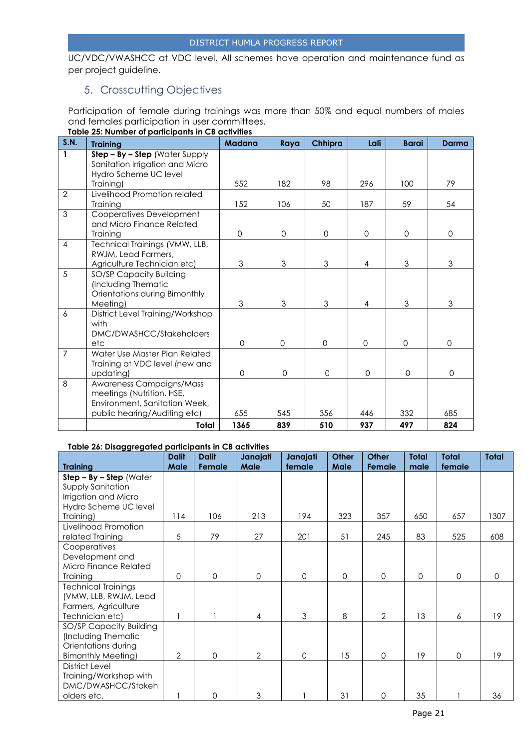UC/VDC/VWASHCC at VDC level. All schemes have operation and maintenance fund as per project guideline.

### <span id="page-20-0"></span>5. Crosscutting Objectives

Participation of female during trainings was more than 50% and equal numbers of males and females participation in user committees.

| S.N.           | <b>Training</b>                           | <b>Madana</b> | Raya                | Chhipra     | Lali           | <b>Barai</b> | Darma               |
|----------------|-------------------------------------------|---------------|---------------------|-------------|----------------|--------------|---------------------|
| $\mathbf{1}$   | $Step - By - Step$ (Water Supply          |               |                     |             |                |              |                     |
|                | Sanitation Irrigation and Micro           |               |                     |             |                |              |                     |
|                | Hydro Scheme UC level                     |               |                     |             |                |              |                     |
|                | Training)                                 | 552           | 182                 | 98          | 296            | 100          | 79                  |
| $\overline{2}$ | Livelihood Promotion related              |               |                     |             |                |              |                     |
|                | Training                                  | 152           | 106                 | 50          | 187            | 59           | 54                  |
| 3              | Cooperatives Development                  |               |                     |             |                |              |                     |
|                | and Micro Finance Related                 |               |                     |             |                |              |                     |
|                | Trainina                                  | $\mathbf 0$   | $\mathbf 0$         | $\Omega$    | $\Omega$       | $\mathbf 0$  | $\mathbf{O}$        |
| $\overline{4}$ | Technical Trainings (VMW, LLB,            |               |                     |             |                |              |                     |
|                | RWJM, Lead Farmers,                       | 3             | 3                   | 3           |                | 3            |                     |
| 5              | Agriculture Technician etc)               |               |                     |             | 4              |              | 3                   |
|                | SO/SP Capacity Building                   |               |                     |             |                |              |                     |
|                | (Including Thematic                       |               |                     |             |                |              |                     |
|                | Orientations during Bimonthly<br>Meeting) | 3             | 3                   | 3           | $\overline{4}$ | 3            | 3                   |
| 6              | District Level Training/Workshop          |               |                     |             |                |              |                     |
|                | with                                      |               |                     |             |                |              |                     |
|                | DMC/DWASHCC/Stakeholders                  |               |                     |             |                |              |                     |
|                | etc                                       | $\Omega$      | $\Omega$            | $\Omega$    | $\Omega$       | $\Omega$     | $\Omega$            |
| $\overline{7}$ | Water Use Master Plan Related             |               |                     |             |                |              |                     |
|                | Training at VDC level (new and            |               |                     |             |                |              |                     |
|                | updating)                                 | $\mathbf 0$   | $\mathsf{O}\xspace$ | $\mathbf 0$ | $\mathbf 0$    | $\mathbf 0$  | $\mathsf{O}\xspace$ |
| 8              | Awareness Campaigns/Mass                  |               |                     |             |                |              |                     |
|                | meetings (Nutrition, HSE,                 |               |                     |             |                |              |                     |
|                | Environment, Sanitation Week,             |               |                     |             |                |              |                     |
|                | public hearing/Auditing etc)              | 655           | 545                 | 356         | 446            | 332          | 685                 |
|                | Total                                     | 1365          | 839                 | 510         | 937            | 497          | 824                 |

#### **Table 25: Number of participants in CB activities**

#### **Table 26: Disaggregated participants in CB activities**

|                            | <b>Dalit</b>   | <b>Dalit</b> | Janajati       | Janajati     | <b>Other</b> | <b>Other</b>   | <b>Total</b> | <b>Total</b> | <b>Total</b> |
|----------------------------|----------------|--------------|----------------|--------------|--------------|----------------|--------------|--------------|--------------|
| <b>Training</b>            | Male           | Female       | Male           | female       | <b>Male</b>  | Female         | male         | female       |              |
| $Step - By - Step (Water)$ |                |              |                |              |              |                |              |              |              |
| Supply Sanitation          |                |              |                |              |              |                |              |              |              |
| Irrigation and Micro       |                |              |                |              |              |                |              |              |              |
| Hydro Scheme UC level      |                |              |                |              |              |                |              |              |              |
| Training)                  | 114            | 106          | 213            | 194          | 323          | 357            | 650          | 657          | 1307         |
| Livelihood Promotion       |                |              |                |              |              |                |              |              |              |
| related Training           | 5              | 79           | 27             | 201          | 51           | 245            | 83           | 525          | 608          |
| Cooperatives               |                |              |                |              |              |                |              |              |              |
| Development and            |                |              |                |              |              |                |              |              |              |
| Micro Finance Related      |                |              |                |              |              |                |              |              |              |
| <b>Training</b>            | $\Omega$       | $\mathbf{O}$ | $\mathbf 0$    | $\mathbf{O}$ | $\Omega$     | 0              | 0            | $\mathbf 0$  | $\Omega$     |
| <b>Technical Trainings</b> |                |              |                |              |              |                |              |              |              |
| (VMW, LLB, RWJM, Lead      |                |              |                |              |              |                |              |              |              |
| Farmers, Agriculture       |                |              |                |              |              |                |              |              |              |
| Technician etc)            |                |              | $\overline{4}$ | 3            | 8            | $\overline{2}$ | 13           | 6            | 19           |
| SO/SP Capacity Building    |                |              |                |              |              |                |              |              |              |
| (Including Thematic        |                |              |                |              |              |                |              |              |              |
| Orientations during        |                |              |                |              |              |                |              |              |              |
| <b>Bimonthly Meeting)</b>  | $\overline{2}$ | $\mathbf{O}$ | $\overline{2}$ | $\mathbf{O}$ | 15           | 0              | 19           | $\mathbf 0$  | 19           |
| District Level             |                |              |                |              |              |                |              |              |              |
| Training/Workshop with     |                |              |                |              |              |                |              |              |              |
| DMC/DWASHCC/Stakeh         |                |              |                |              |              |                |              |              |              |
| olders etc.                |                | 0            | 3              |              | 31           | 0              | 35           |              | 36           |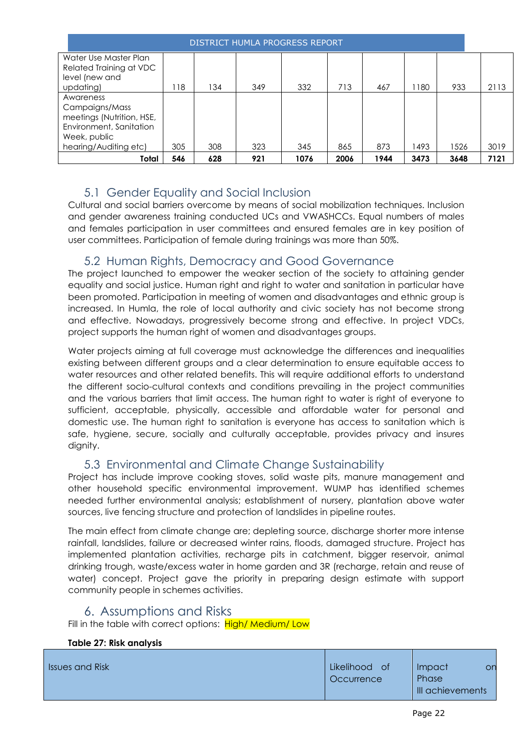| DISTRICT HUMLA PROGRESS REPORT                                                                                               |     |     |     |      |      |      |      |      |      |
|------------------------------------------------------------------------------------------------------------------------------|-----|-----|-----|------|------|------|------|------|------|
| Water Use Master Plan<br>Related Training at VDC<br>level (new and<br>updating)                                              | 118 | 134 | 349 | 332  | 713  | 467  | 1180 | 933  | 2113 |
| Awareness<br>Campaigns/Mass<br>meetings (Nutrition, HSE,<br>Environment, Sanitation<br>Week, public<br>hearing/Auditing etc) | 305 | 308 | 323 | 345  | 865  | 873  | 1493 | 1526 | 3019 |
| Total                                                                                                                        | 546 | 628 | 921 | 1076 | 2006 | 1944 | 3473 | 3648 | 7121 |

### 5.1 Gender Equality and Social Inclusion

<span id="page-21-0"></span>Cultural and social barriers overcome by means of social mobilization techniques. Inclusion and gender awareness training conducted UCs and VWASHCCs. Equal numbers of males and females participation in user committees and ensured females are in key position of user committees. Participation of female during trainings was more than 50%.

### 5.2 Human Rights, Democracy and Good Governance

<span id="page-21-1"></span>The project launched to empower the weaker section of the society to attaining gender equality and social justice. Human right and right to water and sanitation in particular have been promoted. Participation in meeting of women and disadvantages and ethnic group is increased. In Humla, the role of local authority and civic society has not become strong and effective. Nowadays, progressively become strong and effective. In project VDCs, project supports the human right of women and disadvantages groups.

Water projects aiming at full coverage must acknowledge the differences and inequalities existing between different groups and a clear determination to ensure equitable access to water resources and other related benefits. This will require additional efforts to understand the different socio-cultural contexts and conditions prevailing in the project communities and the various barriers that limit access. The human right to water is right of everyone to sufficient, acceptable, physically, accessible and affordable water for personal and domestic use. The human right to sanitation is everyone has access to sanitation which is safe, hygiene, secure, socially and culturally acceptable, provides privacy and insures dignity.

### 5.3 Environmental and Climate Change Sustainability

<span id="page-21-2"></span>Project has include improve cooking stoves, solid waste pits, manure management and other household specific environmental improvement. WUMP has identified schemes needed further environmental analysis; establishment of nursery, plantation above water sources, live fencing structure and protection of landslides in pipeline routes.

The main effect from climate change are; depleting source, discharge shorter more intense rainfall, landslides, failure or decreased winter rains, floods, damaged structure. Project has implemented plantation activities, recharge pits in catchment, bigger reservoir, animal drinking trough, waste/excess water in home garden and 3R (recharge, retain and reuse of water) concept. Project gave the priority in preparing design estimate with support community people in schemes activities.

### 6. Assumptions and Risks

<span id="page-21-3"></span>Fill in the table with correct options: High/ Medium/ Low

#### **Table 27: Risk analysis**

| <b>Issues and Risk</b> | Likelihood of | <b>Impact</b>    | on |
|------------------------|---------------|------------------|----|
|                        | Occurrence    | Phase            |    |
|                        |               | III achievements |    |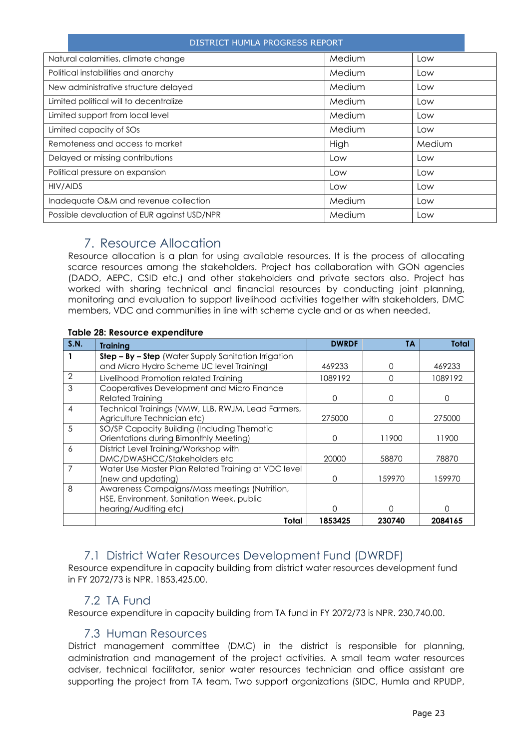| DISTRICT HUMLA PROGRESS REPORT              |        |        |  |
|---------------------------------------------|--------|--------|--|
| Natural calamities, climate change          | Medium | Low    |  |
| Political instabilities and anarchy         | Medium | Low    |  |
| New administrative structure delayed        | Medium | Low    |  |
| Limited political will to decentralize      | Medium | Low    |  |
| Limited support from local level            | Medium | Low    |  |
| Limited capacity of SOs                     | Medium | Low    |  |
| Remoteness and access to market             | High   | Medium |  |
| Delayed or missing contributions            | Low    | Low    |  |
| Political pressure on expansion             | Low    | Low    |  |
| HIV/AIDS                                    | Low    | Low    |  |
| Inadequate O&M and revenue collection       | Medium | Low    |  |
| Possible devaluation of EUR against USD/NPR | Medium | Low    |  |

### 7. Resource Allocation

<span id="page-22-0"></span>Resource allocation is a plan for using available resources. It is the process of allocating scarce resources among the stakeholders. Project has collaboration with GON agencies (DADO, AEPC, CSID etc.) and other stakeholders and private sectors also. Project has worked with sharing technical and financial resources by conducting joint planning, monitoring and evaluation to support livelihood activities together with stakeholders, DMC members, VDC and communities in line with scheme cycle and or as when needed.

#### **Table 28: Resource expenditure**

| S.N.           | <b>Training</b>                                      | <b>DWRDF</b>     | TΑ     | Total   |
|----------------|------------------------------------------------------|------------------|--------|---------|
|                | Step - By - Step (Water Supply Sanitation Irrigation |                  |        |         |
|                | and Micro Hydro Scheme UC level Training)            | 469233           | O      | 469233  |
| $\overline{2}$ | Livelihood Promotion related Training                | 1089192          | ∩      | 1089192 |
| 3              | Cooperatives Development and Micro Finance           |                  |        |         |
|                | <b>Related Training</b>                              | ∩                | O      | ∩       |
| 4              | Technical Trainings (VMW, LLB, RWJM, Lead Farmers,   |                  |        |         |
|                | Agriculture Technician etc)                          | 275000           | O      | 275000  |
| $\overline{5}$ | SO/SP Capacity Building (Including Thematic          |                  |        |         |
|                | Orientations during Bimonthly Meeting)               |                  | 11900  | 11900   |
| 6              | District Level Training/Workshop with                |                  |        |         |
|                | DMC/DWASHCC/Stakeholders etc                         | 20000            | 58870  | 78870   |
|                | Water Use Master Plan Related Training at VDC level  |                  |        |         |
|                | (new and updating)                                   | $\left( \right)$ | 159970 | 159970  |
| 8              | Awareness Campaigns/Mass meetings (Nutrition,        |                  |        |         |
|                | HSE, Environment, Sanitation Week, public            |                  |        |         |
|                | hearing/Auditing etc)                                |                  | Ω      | ∩       |
|                | Total                                                | 1853425          | 230740 | 2084165 |

### 7.1 District Water Resources Development Fund (DWRDF)

<span id="page-22-1"></span>Resource expenditure in capacity building from district water resources development fund in FY 2072/73 is NPR. 1853,425.00.

### 7.2 TA Fund

<span id="page-22-2"></span>Resource expenditure in capacity building from TA fund in FY 2072/73 is NPR. 230,740.00.

### 7.3 Human Resources

<span id="page-22-3"></span>District management committee (DMC) in the district is responsible for planning, administration and management of the project activities. A small team water resources adviser, technical facilitator, senior water resources technician and office assistant are supporting the project from TA team. Two support organizations (SIDC, Humla and RPUDP,